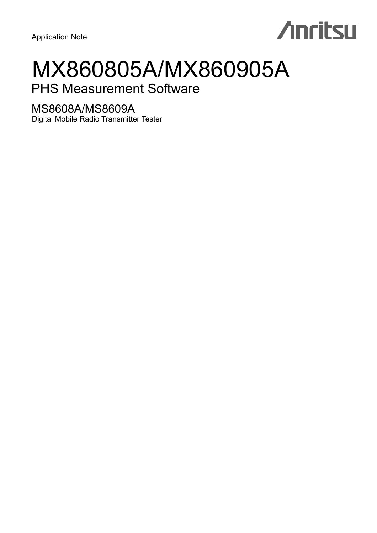Application Note

# **Anritsu**

# MX860805A/MX860905A

# PHS Measurement Software

# MS8608A/MS8609A

Digital Mobile Radio Transmitter Tester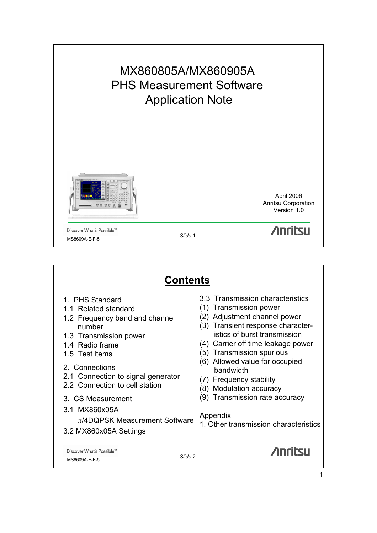

| <b>Contents</b>                                                                                                                                                                                                                                                                                                                                    |                                                                                                                                                                                                                                                                                                                                                                                                                                                         |  |  |
|----------------------------------------------------------------------------------------------------------------------------------------------------------------------------------------------------------------------------------------------------------------------------------------------------------------------------------------------------|---------------------------------------------------------------------------------------------------------------------------------------------------------------------------------------------------------------------------------------------------------------------------------------------------------------------------------------------------------------------------------------------------------------------------------------------------------|--|--|
| 1. PHS Standard<br>1.1 Related standard<br>1.2 Frequency band and channel<br>number<br>1.3 Transmission power<br>1.4 Radio frame<br>1.5 Test items<br>2. Connections<br>2.1 Connection to signal generator<br>2.2 Connection to cell station<br>3. CS Measurement<br>3.1 MX860x05A<br>$\pi$ /4DQPSK Measurement Software<br>3.2 MX860x05A Settings | 3.3 Transmission characteristics<br>(1) Transmission power<br>Adjustment channel power<br>(2)<br>Transient response character-<br>(3)<br>istics of burst transmission<br>Carrier off time leakage power<br>(4)<br>(5) Transmission spurious<br>(6) Allowed value for occupied<br>bandwidth<br><b>Frequency stability</b><br>(7)<br>Modulation accuracy<br>(8)<br>Transmission rate accuracy<br>(9)<br>Appendix<br>1. Other transmission characteristics |  |  |
| Discover What's Possible™<br>Slide 2<br>MS8609A-E-F-5                                                                                                                                                                                                                                                                                              | <b>Anrital</b>                                                                                                                                                                                                                                                                                                                                                                                                                                          |  |  |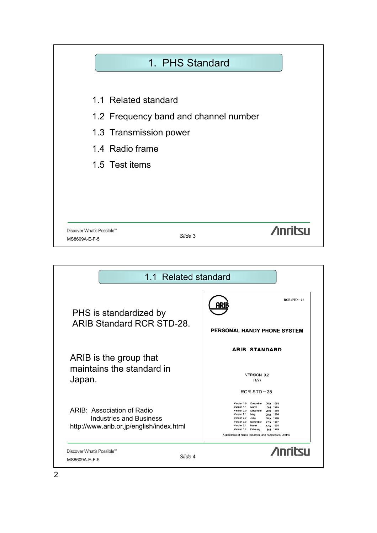

| 1.1 Related standard                                                                              |                                                                                                                                                                                                                                                                                                                                                                                              |
|---------------------------------------------------------------------------------------------------|----------------------------------------------------------------------------------------------------------------------------------------------------------------------------------------------------------------------------------------------------------------------------------------------------------------------------------------------------------------------------------------------|
| PHS is standardized by                                                                            | $RCRSTD-28$                                                                                                                                                                                                                                                                                                                                                                                  |
| <b>ARIB Standard RCR STD-28.</b>                                                                  | PERSONAL HANDY PHONE SYSTEM                                                                                                                                                                                                                                                                                                                                                                  |
| ARIB is the group that<br>maintains the standard in<br>Japan.                                     | <b>ARIB STANDARD</b><br><b>VERSION 3.2</b><br>(1/2)<br>$RCRSTD-28$                                                                                                                                                                                                                                                                                                                           |
| ARIB: Association of Radio<br>Industries and Business<br>http://www.arib.or.jp/english/index.html | Version 1.0<br>December<br>1993<br>20th<br>Version 1.1<br>March<br>1995<br>3rd<br>Version 2.0<br>December<br>1995<br>26th<br>Version 2.1<br>May<br>1996<br>29th<br>Version 2.2<br>1996<br>June<br>25th<br>Version 3.0<br>November<br>1997<br>27th<br>Version 3.1<br>March<br>1998<br>17th<br>Version 3.2<br>February<br>1999<br>2nd<br>Association of Radio Industries and Businesses (ARIB) |
| Discover What's Possible™<br>Slide 4<br>MS8609A-E-F-5                                             | <b>Anritau</b>                                                                                                                                                                                                                                                                                                                                                                               |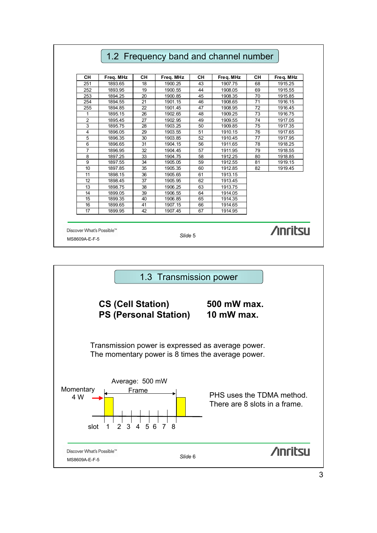## 1.2 Frequency band and channel number CH | Freq. MHz | CH | Freq. MHz | CH | Freq. MHz | CH | Freq. MHz 251 | 1893.65 | 18 | 1900.25 | 43 | 1907.75 | 68 | 1915.25 252 1893.95 19 1900.55 44 1908.05 69 1915.55 253 1894.25 20 1900.85 45 1908.35 70 1915.85 254 1894.55 21 1901.15 46 1908.65 71 1916.15 255 1894.85 22 1901.45 47 1908.95 72 1916.45 1 1895.15 26 1902.65 48 1909.25 73 1916.75 2 1895.45 27 1902.95 49 1909.55 74 1917.05 3 | 1895.75 | 28 | 1903.25 | 50 | 1909.85 | 75 | 1917.35 4 | 1896.05 | 29 | 1903.55 | 51 | 1910.15 | 76 | 1917.65 5 1896.35 30 1903.85 52 1910.45 77 1917.95 6 1896.65 31 1904.15 56 1911.65 78 1918.25 7 1896.95 32 1904.45 57 1911.95 79 1918.55 8 | 1897.25 | 33 | 1904.75 | 58 | 1912.25 | 80 | 1918.85 9 | 1897.55 | 34 | 1905.05 | 59 | 1912.55 | 81 | 1919.15 10 | 1897.85 | 35 | 1905.35 | 60 | 1912.85 | 82 | 1919.45 11 | 1898.15 | 36 | 1905.65 | 61 | 1913.15 12 1898.45 37 1905.95 62 1913.45 13 1898.75 38 1906.25 63 1913.75 14 1899.05 39 1906.55 64 1914.05 15 1899.35 40 1906.85 65 1914.35 1899.65 17 1899.95 42 1907.45 67 1914.95 **Anritsu** Discover What's Possible™ *Slide*<sup>5</sup> MS8609A-E-F-5

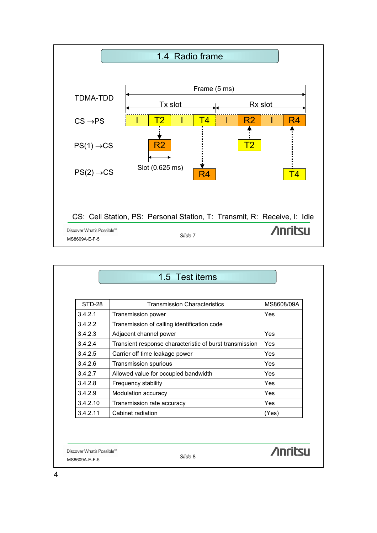

| STD-28   | <b>Transmission Characteristics</b>                     | MS8608/09A |
|----------|---------------------------------------------------------|------------|
| 3.4.2.1  | Transmission power                                      | <b>Yes</b> |
| 3.4.2.2  | Transmission of calling identification code             |            |
| 3.4.2.3  | Adjacent channel power                                  | Yes        |
| 3.4.2.4  | Transient response characteristic of burst transmission | Yes        |
| 3.4.2.5  | Carrier off time leakage power                          | Yes        |
| 3.4.2.6  | Transmission spurious                                   | Yes        |
| 3.4.2.7  | Allowed value for occupied bandwidth                    | <b>Yes</b> |
| 3.4.2.8  | Frequency stability                                     | Yes        |
| 3.4.2.9  | Modulation accuracy                                     | <b>Yes</b> |
| 3.4.2.10 | Transmission rate accuracy                              | <b>Yes</b> |
| 3.4.2.11 | Cabinet radiation                                       | (Yes)      |

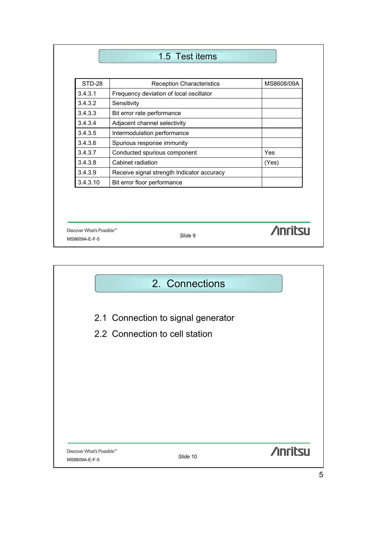# 1.5 Test items

| STD-28   | <b>Reception Characteristics</b>           | MS8608/09A |
|----------|--------------------------------------------|------------|
| 3.4.3.1  | Frequency deviation of local oscillator    |            |
| 3.4.3.2  | Sensitivity                                |            |
| 3.4.3.3  | Bit error rate performance                 |            |
| 3.4.3.4  | Adjacent channel selectivity               |            |
| 3.4.3.5  | Intermodulation performance                |            |
| 3.4.3.6  | Spurious response immunity                 |            |
| 3.4.3.7  | Conducted spurious component               | Yes        |
| 3.4.3.8  | Cabinet radiation                          | (Yes)      |
| 3.4.3.9  | Receive signal strength Indicator accuracy |            |
| 3.4.3.10 | Bit error floor performance                |            |

Discover What's Possible™<br>MS8609A-E-F-5<br>**MS8609A-E-F-5** 

**/inritsu** 

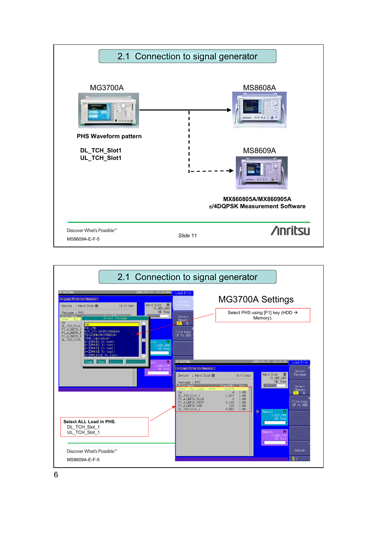

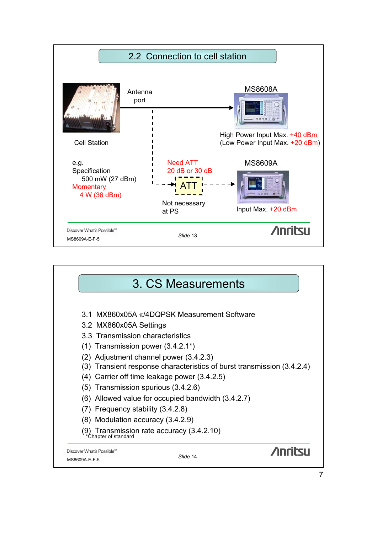

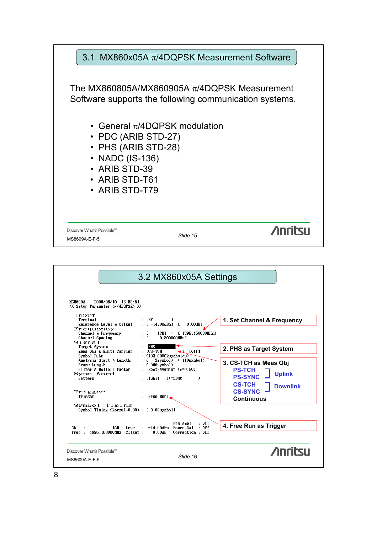

|                                                                                                | 3.2 MX860x05A Settings                                                                                                                       |                                                                           |
|------------------------------------------------------------------------------------------------|----------------------------------------------------------------------------------------------------------------------------------------------|---------------------------------------------------------------------------|
| <b>MS8609A</b><br>2006/03/10 18:38:51<br><< Setup Parameter (π/4DQPSK) >><br>Input<br>Terminal | $: IRF$ 1                                                                                                                                    | 1. Set Channel & Frequency                                                |
| Reference Level & Offset<br>Frequency<br>Channel & Frequency<br>Channel Spacing<br>$Si$ gnal   | : $[-14.00d$ Bm] $[$<br>0.00dB<br>$ICH1 = [1895.150000MHz]$<br>: L<br>÷Г<br>0.300000MHz]                                                     |                                                                           |
| Target System<br>Meas Obj & Multi Carrier<br>Symbol Rate                                       | $\pm$ [PHS<br>$:$ $ICS-TCH$<br>$\bigcup$ [Off]<br>: $(192.0000$ ksymbol/s)                                                                   | 2. PHS as Target System                                                   |
| Analysis Start & Length<br>Frame Length<br>Filter & Rolloff Factor<br>Syno Word<br>Pattern     | 2symbol) (110symbol)<br>: C<br>$: (960$ symbol)<br>: [Root-Nyquist] $(a=0.50)$<br>$:$ [16bit]<br>$1$ $\epsilon$ =3D4 $\epsilon$<br>$\lambda$ | 3. CS-TCH as Meas Obj<br><b>PS-TCH</b><br><b>Uplink</b><br><b>PS-SYNC</b> |
| Trigger<br>Trigger                                                                             | : [Free Run] .                                                                                                                               | <b>CS-TCH</b><br><b>Downlink</b><br><b>CS-SYNC</b><br><b>Continuous</b>   |
| Symbol Timing<br>Symbol Timing (Normal=0.00) : [ 0.00symbol]                                   |                                                                                                                                              |                                                                           |
| 1CH -<br>Level:<br>Ch<br>1895.150000MHz Offset :<br>Free:                                      | Pre Ampl<br>: Off<br>-14.00dBm Power Cal<br>: Off<br>Correction : Off<br>0.00dB                                                              | 4. Free Run as Trigger                                                    |
| Discover What's Possible™                                                                      | Slide 16                                                                                                                                     | <b>Anritsu</b>                                                            |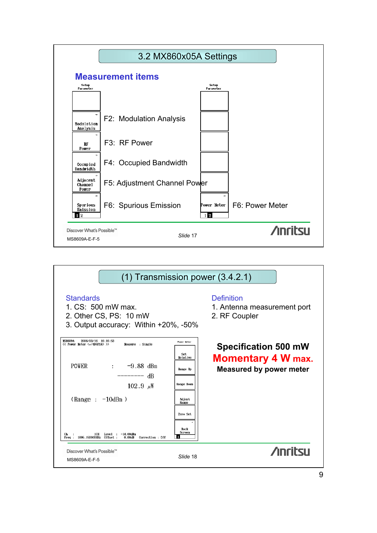

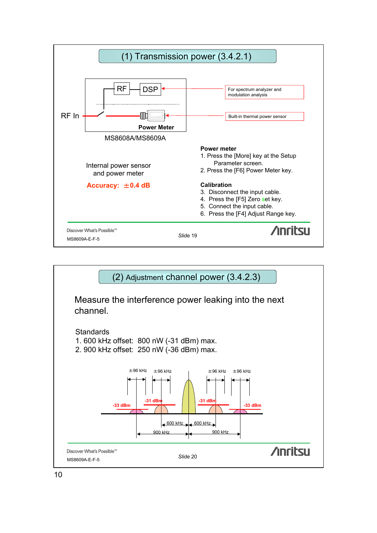

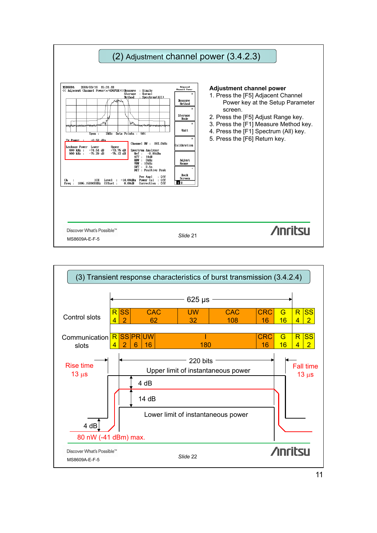

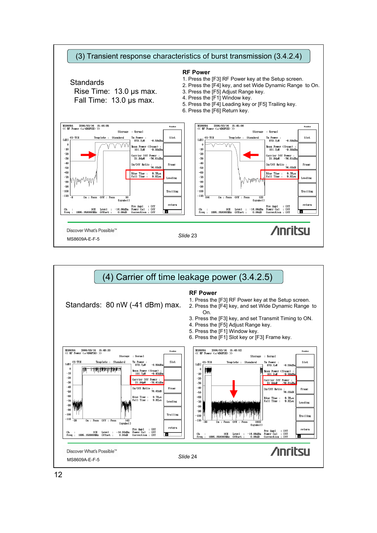

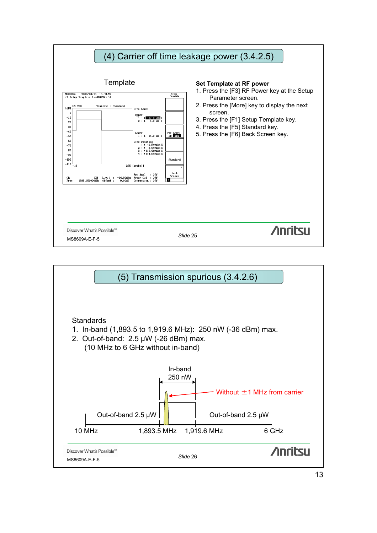

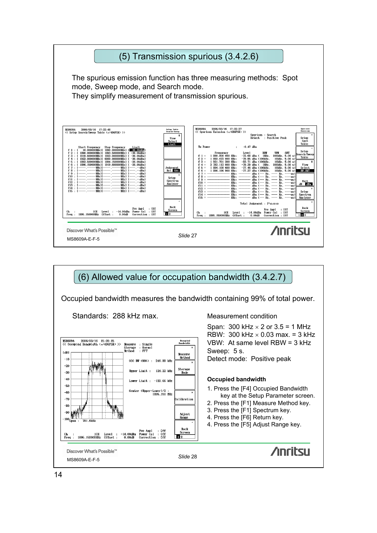

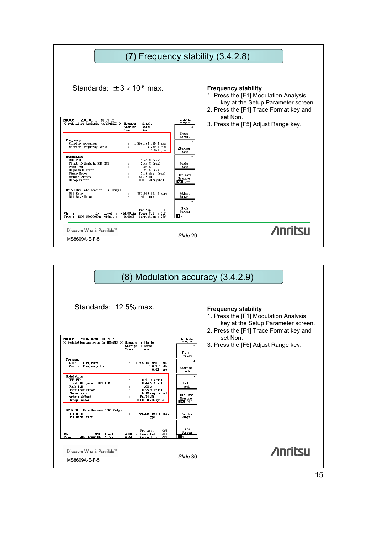|                                                                                                                                                                                                                                                                                                                                                                                                                                                                                                                                                                                                                                                                                                                                                                                                            |                                                                                                                                                                                                                    | (7) Frequency stability (3.4.2.8)                                                                                                                   |
|------------------------------------------------------------------------------------------------------------------------------------------------------------------------------------------------------------------------------------------------------------------------------------------------------------------------------------------------------------------------------------------------------------------------------------------------------------------------------------------------------------------------------------------------------------------------------------------------------------------------------------------------------------------------------------------------------------------------------------------------------------------------------------------------------------|--------------------------------------------------------------------------------------------------------------------------------------------------------------------------------------------------------------------|-----------------------------------------------------------------------------------------------------------------------------------------------------|
| Standards: $\pm 3 \times 10^{-6}$ max.                                                                                                                                                                                                                                                                                                                                                                                                                                                                                                                                                                                                                                                                                                                                                                     |                                                                                                                                                                                                                    | <b>Frequency stability</b><br>1. Press the [F1] Modulation Analysis<br>key at the Setup Parameter screen.<br>2. Press the [F1] Trace Format key and |
| <b>MS8609A</b><br>2006/03/16 16:07:02<br><< Modulation Analysis (π/4DQPSK) >> Measure : Single<br>Storage : Normal<br>: Non<br>Trace<br>Frequency<br>1 895.149 960 9 MHz<br>Carrier Frequency<br>Carrier Frequency Error<br>$-0.039$ 1 kHz<br>$-0.021$ ppm<br>Modulation<br><b>RMS EVM</b><br>$0.41\%$ (rms)<br>$0.44~%$ (rms)<br>First 10 Symbols RMS EVM<br>Peak EVM<br>1.08~%<br>Magnitude Error<br>$0.25$ % (rms)<br><b>Phase Error</b><br>$0.18$ deg. $(rms)$<br>Origin Offset<br>$-56.74$ dB<br>Droop Factor<br>$0.000$ 0 dB/symbol<br>DATA (Bit Rate Measure "ON" Only)<br>Bit Rate<br>383.999 961 6 kbps<br>Bit Rate Error<br>$-0.1$ ppm<br>Pre Ampl<br>.0 <sup>rf</sup><br>1CH<br>Level :<br>$-14.00dBm$<br>Power Cal : Off<br>Сh<br>Freq : 1895.150000MHz Offset :<br>0.00dB<br>Correction : Off | <b>Hodulation</b><br><b>Analysis</b><br>#<br>Trace<br>Format<br>ж<br><b>Storage</b><br>Mode<br>$*$<br>Scale<br>Mode<br><b>Bit Rate</b><br>Measure<br>on off<br>Adjust<br>Range<br>Back<br>Screen<br>$\blacksquare$ | set Non.<br>3. Press the [F5] Adjust Range key.                                                                                                     |
| Discover What's Possible™<br>MS8609A-E-F-5                                                                                                                                                                                                                                                                                                                                                                                                                                                                                                                                                                                                                                                                                                                                                                 | Slide 29                                                                                                                                                                                                           | <b>Anritsu</b>                                                                                                                                      |

| $(8)$ Modulation accuracy $(3.4.2.9)$                                                                                                                                                                                                                                                                                                                          |                                                                                                  |                                                                                                                                                     |
|----------------------------------------------------------------------------------------------------------------------------------------------------------------------------------------------------------------------------------------------------------------------------------------------------------------------------------------------------------------|--------------------------------------------------------------------------------------------------|-----------------------------------------------------------------------------------------------------------------------------------------------------|
| Standards: 12.5% max.                                                                                                                                                                                                                                                                                                                                          |                                                                                                  | <b>Frequency stability</b><br>1. Press the [F1] Modulation Analysis<br>key at the Setup Parameter screen.<br>2. Press the [F1] Trace Format key and |
| <b>MS8609A</b><br>2006/03/16 16:07:02<br><< Modulation Analysis (π/4DQPSK) >> Measure : Single<br>Storage : Normal<br>: Non<br>Trace<br>Frequency<br>1 895.149 960 9 MHz<br>Carrier Frequency<br>Carrier Frequency Error<br>$-0.039$ 1 kHz<br>$\mathbf{r}$<br>$-0.021$ ppn<br>Modulation<br><b>RMS EVM</b><br>$0.41 \times$ (rms)                              | <b>Hodulation</b><br><b>Analysis</b><br>#<br>Trace<br>Format<br>$*$<br>Storage<br>Mode<br>$\ast$ | set Non.<br>3. Press the [F5] Adjust Range key.                                                                                                     |
| First 10 Symbols RMS EVM<br>$0.44 \times$ (rms)<br>1.08 %<br>Peak EVM<br>Magnitude Error<br>$0.25$ % ( $rms$ )<br><b>Phase Error</b><br>$0.18$ deg. $(rms)$<br>$-56.74$ dB<br>Origin Offset<br>0.000 0 dB/symbol<br>Droop Factor<br>DATA (Bit Rate Measure "ON" Only)<br>Bit Rate<br>383.999 961 6 kbps<br><b>Bit Rate Error</b><br>$-0.1$ ppm<br>$\mathbf{r}$ | Scale<br>Mode<br><b>Bit Rate</b><br>Measure<br>on off<br>Adjust<br>Range<br>$\rightarrow$        |                                                                                                                                                     |
| Pre Ampl<br>: Off<br>1CH Level : -14.00dBm Power Cal : Off<br>Сh<br>$\sim$ 1.<br>1895.150000MHz Offset:<br>0.00dB<br>Correction : Off<br>Freq:<br>Discover What's Possible™<br>MS8609A-E-F-5                                                                                                                                                                   | Back<br>Screen<br>12<br>Slide 30                                                                 | <b>Anritsu</b>                                                                                                                                      |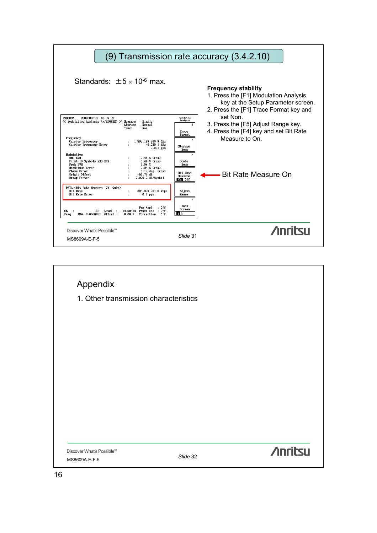

| Appendix                              |          |                 |
|---------------------------------------|----------|-----------------|
| 1. Other transmission characteristics |          |                 |
|                                       |          |                 |
|                                       |          |                 |
|                                       |          |                 |
|                                       |          |                 |
|                                       |          |                 |
|                                       |          |                 |
|                                       |          |                 |
|                                       |          |                 |
|                                       |          |                 |
| Discover What's Possible™             |          | <b>/inritsu</b> |
| MS8609A-E-F-5                         | Slide 32 |                 |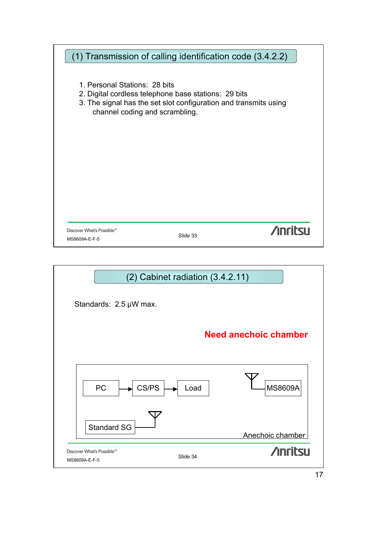|                                | (1) Transmission of calling identification code (3.4.2.2)        |                |
|--------------------------------|------------------------------------------------------------------|----------------|
|                                |                                                                  |                |
|                                |                                                                  |                |
| 1. Personal Stations: 28 bits  | 2. Digital cordless telephone base stations: 29 bits             |                |
|                                | 3. The signal has the set slot configuration and transmits using |                |
| channel coding and scrambling. |                                                                  |                |
|                                |                                                                  |                |
|                                |                                                                  |                |
|                                |                                                                  |                |
|                                |                                                                  |                |
|                                |                                                                  |                |
|                                |                                                                  |                |
|                                |                                                                  |                |
|                                |                                                                  |                |
|                                |                                                                  |                |
|                                |                                                                  |                |
| Discover What's Possible™      |                                                                  | <b>Anritsu</b> |
| MS8609A-E-F-5                  | Slide 33                                                         |                |